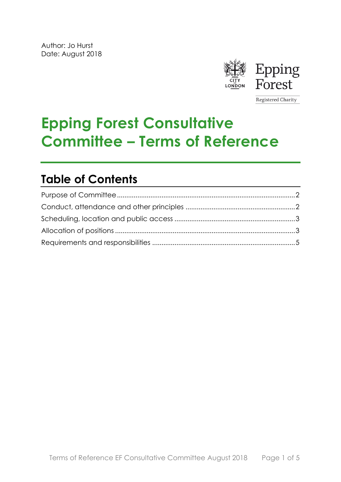

Registered Charity

# **Epping Forest Consultative Committee – Terms of Reference**

## **Table of Contents**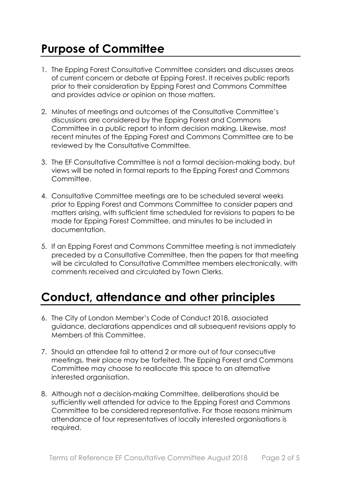### <span id="page-1-0"></span>**Purpose of Committee**

- 1. The Epping Forest Consultative Committee considers and discusses areas of current concern or debate at Epping Forest. It receives public reports prior to their consideration by Epping Forest and Commons Committee and provides advice or opinion on those matters.
- 2. Minutes of meetings and outcomes of the Consultative Committee's discussions are considered by the Epping Forest and Commons Committee in a public report to inform decision making. Likewise, most recent minutes of the Epping Forest and Commons Committee are to be reviewed by the Consultative Committee.
- 3. The EF Consultative Committee is not a formal decision-making body, but views will be noted in formal reports to the Epping Forest and Commons Committee.
- 4. Consultative Committee meetings are to be scheduled several weeks prior to Epping Forest and Commons Committee to consider papers and matters arising, with sufficient time scheduled for revisions to papers to be made for Epping Forest Committee, and minutes to be included in documentation.
- 5. If an Epping Forest and Commons Committee meeting is not immediately preceded by a Consultative Committee, then the papers for that meeting will be circulated to Consultative Committee members electronically, with comments received and circulated by Town Clerks.

#### <span id="page-1-1"></span>**Conduct, attendance and other principles**

- 6. The City of London Member's Code of Conduct 2018, associated guidance, declarations appendices and all subsequent revisions apply to Members of this Committee.
- 7. Should an attendee fail to attend 2 or more out of four consecutive meetings, their place may be forfeited. The Epping Forest and Commons Committee may choose to reallocate this space to an alternative interested organisation.
- 8. Although not a decision-making Committee, deliberations should be sufficiently well attended for advice to the Epping Forest and Commons Committee to be considered representative. For those reasons minimum attendance of four representatives of locally interested organisations is required.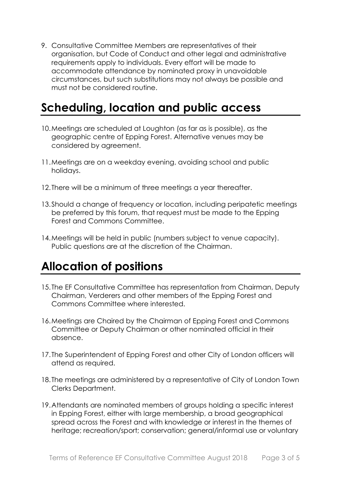9. Consultative Committee Members are representatives of their organisation, but Code of Conduct and other legal and administrative requirements apply to individuals. Every effort will be made to accommodate attendance by nominated proxy in unavoidable circumstances, but such substitutions may not always be possible and must not be considered routine.

#### <span id="page-2-0"></span>**Scheduling, location and public access**

- 10.Meetings are scheduled at Loughton (as far as is possible), as the geographic centre of Epping Forest. Alternative venues may be considered by agreement.
- 11.Meetings are on a weekday evening, avoiding school and public holidays.
- 12.There will be a minimum of three meetings a year thereafter.
- 13.Should a change of frequency or location, including peripatetic meetings be preferred by this forum, that request must be made to the Epping Forest and Commons Committee.
- 14.Meetings will be held in public (numbers subject to venue capacity). Public questions are at the discretion of the Chairman.

#### <span id="page-2-1"></span>**Allocation of positions**

- 15.The EF Consultative Committee has representation from Chairman, Deputy Chairman, Verderers and other members of the Epping Forest and Commons Committee where interested.
- 16.Meetings are Chaired by the Chairman of Epping Forest and Commons Committee or Deputy Chairman or other nominated official in their absence.
- 17.The Superintendent of Epping Forest and other City of London officers will attend as required.
- 18.The meetings are administered by a representative of City of London Town Clerks Department.
- 19.Attendants are nominated members of groups holding a specific interest in Epping Forest, either with large membership, a broad geographical spread across the Forest and with knowledge or interest in the themes of heritage; recreation/sport; conservation; general/informal use or voluntary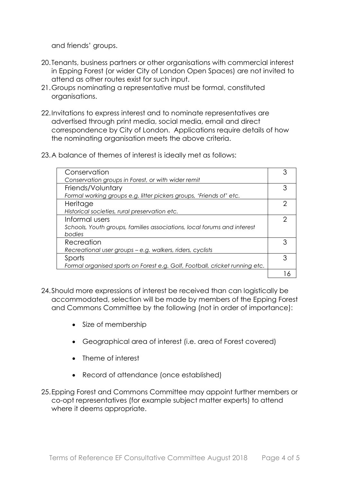and friends' groups.

- 20.Tenants, business partners or other organisations with commercial interest in Epping Forest (or wider City of London Open Spaces) are not invited to attend as other routes exist for such input.
- 21.Groups nominating a representative must be formal, constituted organisations.
- 22.Invitations to express interest and to nominate representatives are advertised through print media, social media, email and direct correspondence by City of London. Applications require details of how the nominating organisation meets the above criteria.
- 23.A balance of themes of interest is ideally met as follows:

| Conservation                                                                |   |
|-----------------------------------------------------------------------------|---|
| Conservation groups in Forest, or with wider remit                          |   |
| Friends/Voluntary                                                           |   |
| Formal working groups e.g. litter pickers groups, 'Friends of' etc.         |   |
| Heritage                                                                    |   |
| Historical societies, rural preservation etc.                               |   |
| Informal users                                                              | ⌒ |
| Schools, Youth groups, families associations, local forums and interest     |   |
| bodies                                                                      |   |
| Recreation                                                                  |   |
| Recreational user groups - e.g. walkers, riders, cyclists                   |   |
| Sports                                                                      |   |
| Formal organised sports on Forest e.g. Golf, Football, cricket running etc. |   |
|                                                                             |   |

- 24.Should more expressions of interest be received than can logistically be accommodated, selection will be made by members of the Epping Forest and Commons Committee by the following (not in order of importance):
	- Size of membership
	- Geographical area of interest (i.e. area of Forest covered)
	- Theme of interest
	- Record of attendance (once established)
- 25.Epping Forest and Commons Committee may appoint further members or co-opt representatives (for example subject matter experts) to attend where it deems appropriate.